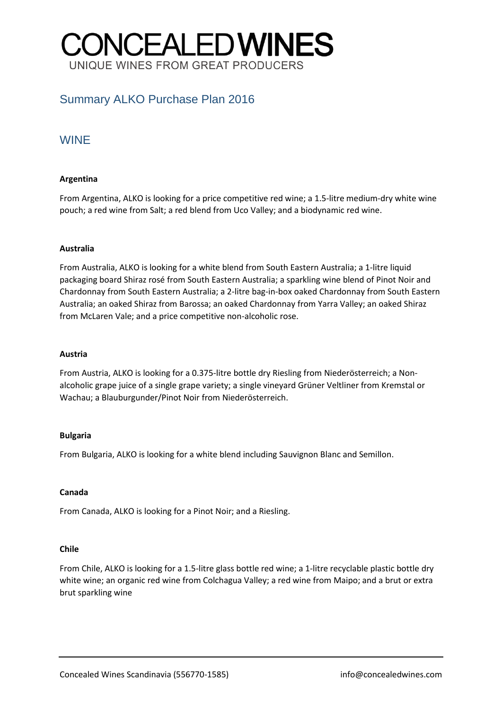# **CONCEALED WINES** UNIQUE WINES FROM GREAT PRODUCERS

## Summary ALKO Purchase Plan 2016

### WINE

#### **Argentina**

From Argentina, ALKO is looking for a price competitive red wine; a 1.5-litre medium-dry white wine pouch; a red wine from Salt; a red blend from Uco Valley; and a biodynamic red wine.

#### **Australia**

From Australia, ALKO is looking for a white blend from South Eastern Australia; a 1-litre liquid packaging board Shiraz rosé from South Eastern Australia; a sparkling wine blend of Pinot Noir and Chardonnay from South Eastern Australia; a 2-litre bag-in-box oaked Chardonnay from South Eastern Australia; an oaked Shiraz from Barossa; an oaked Chardonnay from Yarra Valley; an oaked Shiraz from McLaren Vale; and a price competitive non-alcoholic rose.

#### **Austria**

From Austria, ALKO is looking for a 0.375-litre bottle dry Riesling from Niederösterreich; a Nonalcoholic grape juice of a single grape variety; a single vineyard Grüner Veltliner from Kremstal or Wachau; a Blauburgunder/Pinot Noir from Niederösterreich.

#### **Bulgaria**

From Bulgaria, ALKO is looking for a white blend including Sauvignon Blanc and Semillon.

#### **Canada**

From Canada, ALKO is looking for a Pinot Noir; and a Riesling.

#### **Chile**

From Chile, ALKO is looking for a 1.5-litre glass bottle red wine; a 1-litre recyclable plastic bottle dry white wine; an organic red wine from Colchagua Valley; a red wine from Maipo; and a brut or extra brut sparkling wine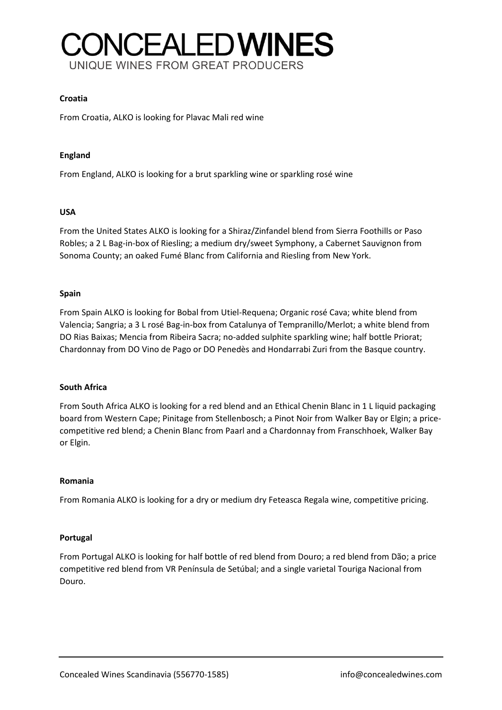# **ONCEALED WINES** UNIQUE WINES FROM GREAT PRODUCERS

#### **Croatia**

From Croatia, ALKO is looking for Plavac Mali red wine

#### **England**

From England, ALKO is looking for a brut sparkling wine or sparkling rosé wine

#### **USA**

From the United States ALKO is looking for a Shiraz/Zinfandel blend from Sierra Foothills or Paso Robles; a 2 L Bag-in-box of Riesling; a medium dry/sweet Symphony, a Cabernet Sauvignon from Sonoma County; an oaked Fumé Blanc from California and Riesling from New York.

#### **Spain**

From Spain ALKO is looking for Bobal from Utiel-Requena; Organic rosé Cava; white blend from Valencia; Sangria; a 3 L rosé Bag-in-box from Catalunya of Tempranillo/Merlot; a white blend from DO Rias Baixas; Mencia from Ribeira Sacra; no-added sulphite sparkling wine; half bottle Priorat; Chardonnay from DO Vino de Pago or DO Penedès and Hondarrabi Zuri from the Basque country.

#### **South Africa**

From South Africa ALKO is looking for a red blend and an Ethical Chenin Blanc in 1 L liquid packaging board from Western Cape; Pinitage from Stellenbosch; a Pinot Noir from Walker Bay or Elgin; a pricecompetitive red blend; a Chenin Blanc from Paarl and a Chardonnay from Franschhoek, Walker Bay or Elgin.

#### **Romania**

From Romania ALKO is looking for a dry or medium dry Feteasca Regala wine, competitive pricing.

#### **Portugal**

From Portugal ALKO is looking for half bottle of red blend from Douro; a red blend from Dão; a price competitive red blend from VR Península de Setúbal; and a single varietal Touriga Nacional from Douro.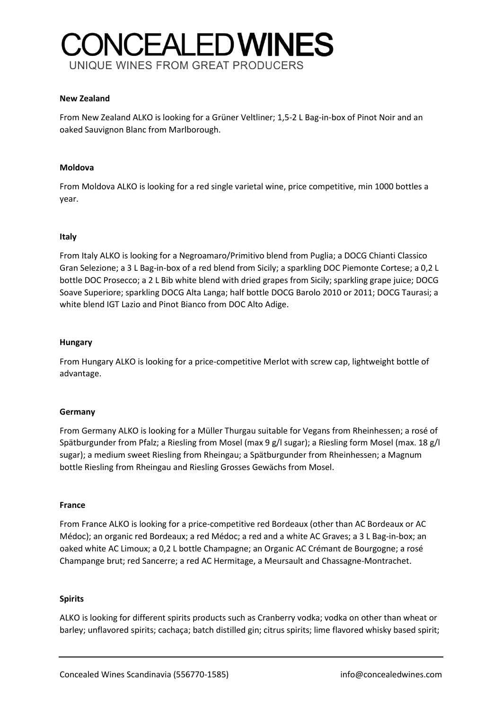# **ONCEALEDWINES** UNIQUE WINES FROM GREAT PRODUCERS

#### **New Zealand**

From New Zealand ALKO is looking for a Grüner Veltliner; 1,5-2 L Bag-in-box of Pinot Noir and an oaked Sauvignon Blanc from Marlborough.

#### **Moldova**

From Moldova ALKO is looking for a red single varietal wine, price competitive, min 1000 bottles a year.

#### **Italy**

From Italy ALKO is looking for a Negroamaro/Primitivo blend from Puglia; a DOCG Chianti Classico Gran Selezione; a 3 L Bag-in-box of a red blend from Sicily; a sparkling DOC Piemonte Cortese; a 0,2 L bottle DOC Prosecco; a 2 L Bib white blend with dried grapes from Sicily; sparkling grape juice; DOCG Soave Superiore; sparkling DOCG Alta Langa; half bottle DOCG Barolo 2010 or 2011; DOCG Taurasi; a white blend IGT Lazio and Pinot Bianco from DOC Alto Adige.

#### **Hungary**

From Hungary ALKO is looking for a price-competitive Merlot with screw cap, lightweight bottle of advantage.

#### **Germany**

From Germany ALKO is looking for a Müller Thurgau suitable for Vegans from Rheinhessen; a rosé of Spätburgunder from Pfalz; a Riesling from Mosel (max 9 g/l sugar); a Riesling form Mosel (max. 18 g/l sugar); a medium sweet Riesling from Rheingau; a Spätburgunder from Rheinhessen; a Magnum bottle Riesling from Rheingau and Riesling Grosses Gewächs from Mosel.

#### **France**

From France ALKO is looking for a price-competitive red Bordeaux (other than AC Bordeaux or AC Médoc); an organic red Bordeaux; a red Médoc; a red and a white AC Graves; a 3 L Bag-in-box; an oaked white AC Limoux; a 0,2 L bottle Champagne; an Organic AC Crémant de Bourgogne; a rosé Champange brut; red Sancerre; a red AC Hermitage, a Meursault and Chassagne-Montrachet.

#### **Spirits**

ALKO is looking for different spirits products such as Cranberry vodka; vodka on other than wheat or barley; unflavored spirits; cachaça; batch distilled gin; citrus spirits; lime flavored whisky based spirit;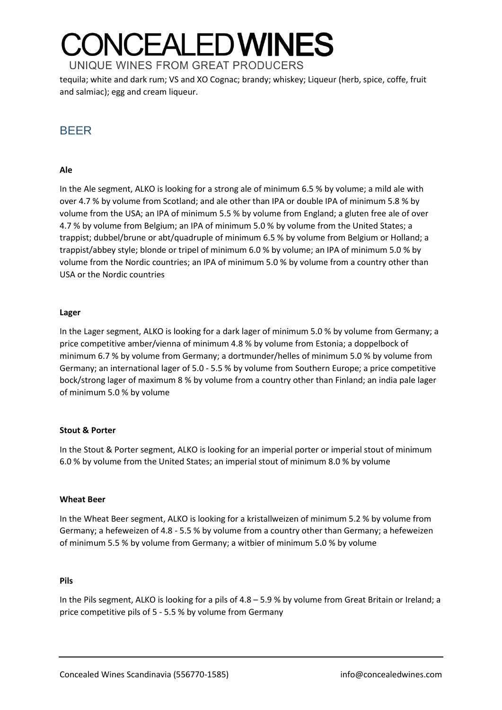## **ONCEALED WINES** UNIQUE WINES FROM GREAT PRODUCERS

tequila; white and dark rum; VS and XO Cognac; brandy; whiskey; Liqueur (herb, spice, coffe, fruit and salmiac); egg and cream liqueur.

## BEER

#### **Ale**

In the Ale segment, ALKO is looking for a strong ale of minimum 6.5 % by volume; a mild ale with over 4.7 % by volume from Scotland; and ale other than IPA or double IPA of minimum 5.8 % by volume from the USA; an IPA of minimum 5.5 % by volume from England; a gluten free ale of over 4.7 % by volume from Belgium; an IPA of minimum 5.0 % by volume from the United States; a trappist; dubbel/brune or abt/quadruple of minimum 6.5 % by volume from Belgium or Holland; a trappist/abbey style; blonde or tripel of minimum 6.0 % by volume; an IPA of minimum 5.0 % by volume from the Nordic countries; an IPA of minimum 5.0 % by volume from a country other than USA or the Nordic countries

#### **Lager**

In the Lager segment, ALKO is looking for a dark lager of minimum 5.0 % by volume from Germany; a price competitive amber/vienna of minimum 4.8 % by volume from Estonia; a doppelbock of minimum 6.7 % by volume from Germany; a dortmunder/helles of minimum 5.0 % by volume from Germany; an international lager of 5.0 - 5.5 % by volume from Southern Europe; a price competitive bock/strong lager of maximum 8 % by volume from a country other than Finland; an india pale lager of minimum 5.0 % by volume

#### **Stout & Porter**

In the Stout & Porter segment, ALKO is looking for an imperial porter or imperial stout of minimum 6.0 % by volume from the United States; an imperial stout of minimum 8.0 % by volume

#### **Wheat Beer**

In the Wheat Beer segment, ALKO is looking for a kristallweizen of minimum 5.2 % by volume from Germany; a hefeweizen of 4.8 - 5.5 % by volume from a country other than Germany; a hefeweizen of minimum 5.5 % by volume from Germany; a witbier of minimum 5.0 % by volume

#### **Pils**

In the Pils segment, ALKO is looking for a pils of  $4.8 - 5.9$  % by volume from Great Britain or Ireland; a price competitive pils of 5 - 5.5 % by volume from Germany